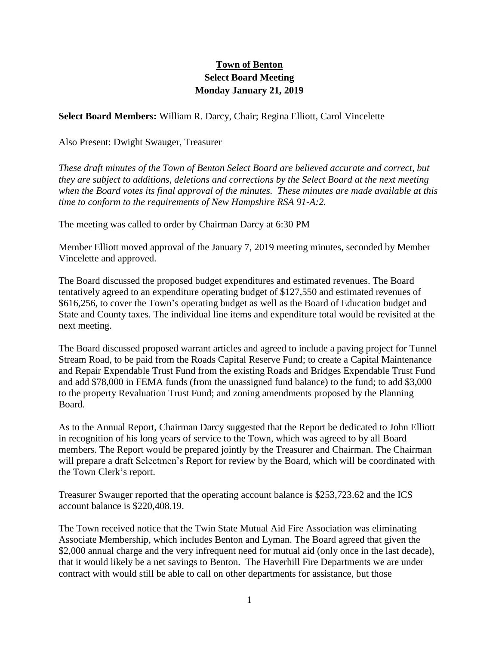## **Town of Benton Select Board Meeting Monday January 21, 2019**

**Select Board Members:** William R. Darcy, Chair; Regina Elliott, Carol Vincelette

Also Present: Dwight Swauger, Treasurer

*These draft minutes of the Town of Benton Select Board are believed accurate and correct, but they are subject to additions, deletions and corrections by the Select Board at the next meeting when the Board votes its final approval of the minutes. These minutes are made available at this time to conform to the requirements of New Hampshire RSA 91-A:2.*

The meeting was called to order by Chairman Darcy at 6:30 PM

Member Elliott moved approval of the January 7, 2019 meeting minutes, seconded by Member Vincelette and approved.

The Board discussed the proposed budget expenditures and estimated revenues. The Board tentatively agreed to an expenditure operating budget of \$127,550 and estimated revenues of \$616,256, to cover the Town's operating budget as well as the Board of Education budget and State and County taxes. The individual line items and expenditure total would be revisited at the next meeting.

The Board discussed proposed warrant articles and agreed to include a paving project for Tunnel Stream Road, to be paid from the Roads Capital Reserve Fund; to create a Capital Maintenance and Repair Expendable Trust Fund from the existing Roads and Bridges Expendable Trust Fund and add \$78,000 in FEMA funds (from the unassigned fund balance) to the fund; to add \$3,000 to the property Revaluation Trust Fund; and zoning amendments proposed by the Planning Board.

As to the Annual Report, Chairman Darcy suggested that the Report be dedicated to John Elliott in recognition of his long years of service to the Town, which was agreed to by all Board members. The Report would be prepared jointly by the Treasurer and Chairman. The Chairman will prepare a draft Selectmen's Report for review by the Board, which will be coordinated with the Town Clerk's report.

Treasurer Swauger reported that the operating account balance is \$253,723.62 and the ICS account balance is \$220,408.19.

The Town received notice that the Twin State Mutual Aid Fire Association was eliminating Associate Membership, which includes Benton and Lyman. The Board agreed that given the \$2,000 annual charge and the very infrequent need for mutual aid (only once in the last decade), that it would likely be a net savings to Benton. The Haverhill Fire Departments we are under contract with would still be able to call on other departments for assistance, but those